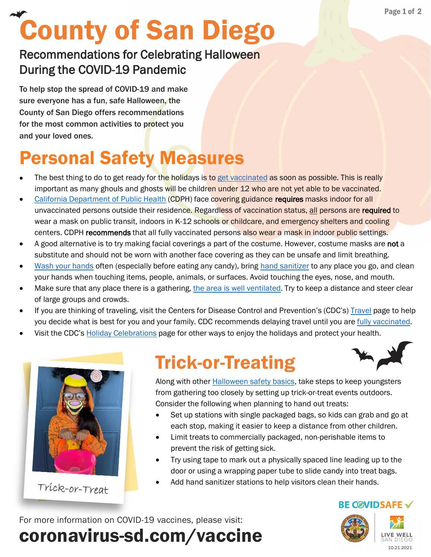# County of San Diego

#### Recommendations for Celebrating Halloween During the COVID-19 Pandemic

To help stop the spread of COVID-19 and make sure everyone has a fun, safe Halloween, the County of San Diego offers recommendations for the most common activities to protect you and your loved ones.

# Personal Safety Measures

- The best thing to do to get ready for the holidays is to [get vaccinated](https://www.sandiegocounty.gov/content/sdc/hhsa/programs/phs/community_epidemiology/dc/2019-nCoV/vaccines.html) as soon as possible. This is really important as many ghouls and ghosts will be children under 12 who are not yet able to be vaccinated.
- [California Department of Public Health](https://www.cdph.ca.gov/Programs/CID/DCDC/Pages/COVID-19/guidance-for-face-coverings.aspx) (CDPH) face covering guidance requires masks indoor for all unvaccinated persons outside their residence. Regardless of vaccination status, all persons are required to wear a mask on public transit, indoors in K-12 schools or childcare, and emergency shelters and cooling centers. CDPH recommends that all fully vaccinated persons also wear a mask in indoor public settings.
- A good alternative is to try making facial coverings a part of the costume. However, costume masks are not a substitute and should not be worn with another face covering as they can be unsafe and limit breathing.
- [Wash your hands](https://www.cdc.gov/handwashing/when-how-handwashing.html) often (especially before eating any candy), bring [hand sanitizer](https://www.cdc.gov/handwashing/hand-sanitizer-use.html) to any place you go, and clean your hands when touching items, people, animals, or surfaces. Avoid touching the eyes, nose, and mouth.
- Make sure that any place there is a gathering, [the area is well ventilated](https://www.cdc.gov/coronavirus/2019-ncov/community/ventilation.html). Try to keep a distance and steer clear of large groups and crowds.
- If you are thinking of traveling, visit the Centers for Disease Control and Prevention's (CDC's) [Travel](https://www.cdc.gov/coronavirus/2019-ncov/travelers/index.html) page to help you decide what is best for you and your family. CDC recommends delaying travel until you are [fully vaccinated.](https://www.cdc.gov/coronavirus/2019-ncov/vaccines/fully-vaccinated.html#vaccinated)
- Visit the CDC's [Holiday Celebrations](https://www.cdc.gov/coronavirus/2019-ncov/daily-life-coping/holidays/celebrations.html) page for other ways to enjoy the holidays and protect your health.



Trick-or-Treat

#### Trick-or-Treating



Along with other [Halloween safety basics,](https://sdcountycagov.sharepoint.com/sites/COSD-COVID-Vaccine-COVIDVaxCommunicationsInternal/Shared%20Documents/COVID%20Vax%20Communications%20(Internal)/_In-Progress%20Documents%20(SAVE%20DRAFTS%20HERE)/healthychildren.org/English/safety-prevention/all-around/Pages/Halloween-Safety-Tips.aspx) take steps to keep youngsters from gathering too closely by setting up trick-or-treat events outdoors. Consider the following when planning to hand out treats:

- Set up stations with single packaged bags, so kids can grab and go at each stop, making it easier to keep a distance from other children.
- Limit treats to commercially packaged, non-perishable items to prevent the risk of getting sick.
- Try using tape to mark out a physically spaced line leading up to the door or using a wrapping paper tube to slide candy into treat bags.
- Add hand sanitizer stations to help visitors clean their hands.

coronavirus-sd.com/vaccine For more information on COVID-19 vaccines, please visit:





**BE COVIDSAFE**